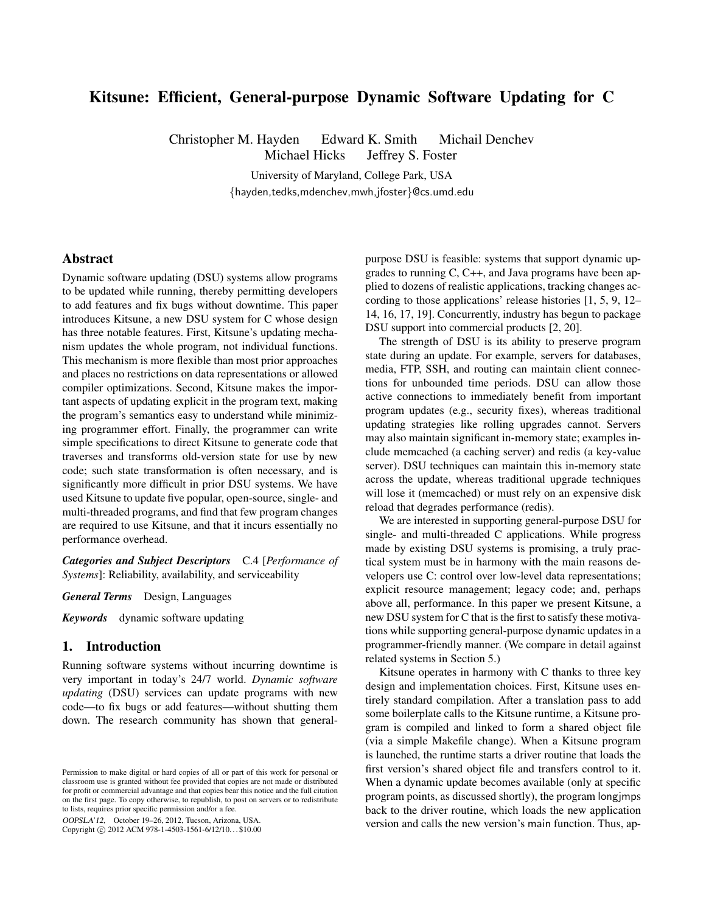# Kitsune: Efficient, General-purpose Dynamic Software Updating for C

Christopher M. Hayden Edward K. Smith Michail Denchev

Michael Hicks Jeffrey S. Foster

University of Maryland, College Park, USA {hayden,tedks,mdenchev,mwh,jfoster}@cs.umd.edu

#### Abstract

Dynamic software updating (DSU) systems allow programs to be updated while running, thereby permitting developers to add features and fix bugs without downtime. This paper introduces Kitsune, a new DSU system for C whose design has three notable features. First, Kitsune's updating mechanism updates the whole program, not individual functions. This mechanism is more flexible than most prior approaches and places no restrictions on data representations or allowed compiler optimizations. Second, Kitsune makes the important aspects of updating explicit in the program text, making the program's semantics easy to understand while minimizing programmer effort. Finally, the programmer can write simple specifications to direct Kitsune to generate code that traverses and transforms old-version state for use by new code; such state transformation is often necessary, and is significantly more difficult in prior DSU systems. We have used Kitsune to update five popular, open-source, single- and multi-threaded programs, and find that few program changes are required to use Kitsune, and that it incurs essentially no performance overhead.

*Categories and Subject Descriptors* C.4 [*Performance of Systems*]: Reliability, availability, and serviceability

*General Terms* Design, Languages

*Keywords* dynamic software updating

## 1. Introduction

Running software systems without incurring downtime is very important in today's 24/7 world. *Dynamic software updating* (DSU) services can update programs with new code—to fix bugs or add features—without shutting them down. The research community has shown that general-

OOPSLA'12, October 19–26, 2012, Tucson, Arizona, USA.

Copyright © 2012 ACM 978-1-4503-1561-6/12/10... \$10.00

purpose DSU is feasible: systems that support dynamic upgrades to running C, C++, and Java programs have been applied to dozens of realistic applications, tracking changes according to those applications' release histories [1, 5, 9, 12– 14, 16, 17, 19]. Concurrently, industry has begun to package DSU support into commercial products [2, 20].

The strength of DSU is its ability to preserve program state during an update. For example, servers for databases, media, FTP, SSH, and routing can maintain client connections for unbounded time periods. DSU can allow those active connections to immediately benefit from important program updates (e.g., security fixes), whereas traditional updating strategies like rolling upgrades cannot. Servers may also maintain significant in-memory state; examples include memcached (a caching server) and redis (a key-value server). DSU techniques can maintain this in-memory state across the update, whereas traditional upgrade techniques will lose it (memcached) or must rely on an expensive disk reload that degrades performance (redis).

We are interested in supporting general-purpose DSU for single- and multi-threaded C applications. While progress made by existing DSU systems is promising, a truly practical system must be in harmony with the main reasons developers use C: control over low-level data representations; explicit resource management; legacy code; and, perhaps above all, performance. In this paper we present Kitsune, a new DSU system for C that is the first to satisfy these motivations while supporting general-purpose dynamic updates in a programmer-friendly manner. (We compare in detail against related systems in Section 5.)

Kitsune operates in harmony with C thanks to three key design and implementation choices. First, Kitsune uses entirely standard compilation. After a translation pass to add some boilerplate calls to the Kitsune runtime, a Kitsune program is compiled and linked to form a shared object file (via a simple Makefile change). When a Kitsune program is launched, the runtime starts a driver routine that loads the first version's shared object file and transfers control to it. When a dynamic update becomes available (only at specific program points, as discussed shortly), the program longjmps back to the driver routine, which loads the new application version and calls the new version's main function. Thus, ap-

Permission to make digital or hard copies of all or part of this work for personal or classroom use is granted without fee provided that copies are not made or distributed for profit or commercial advantage and that copies bear this notice and the full citation on the first page. To copy otherwise, to republish, to post on servers or to redistribute to lists, requires prior specific permission and/or a fee.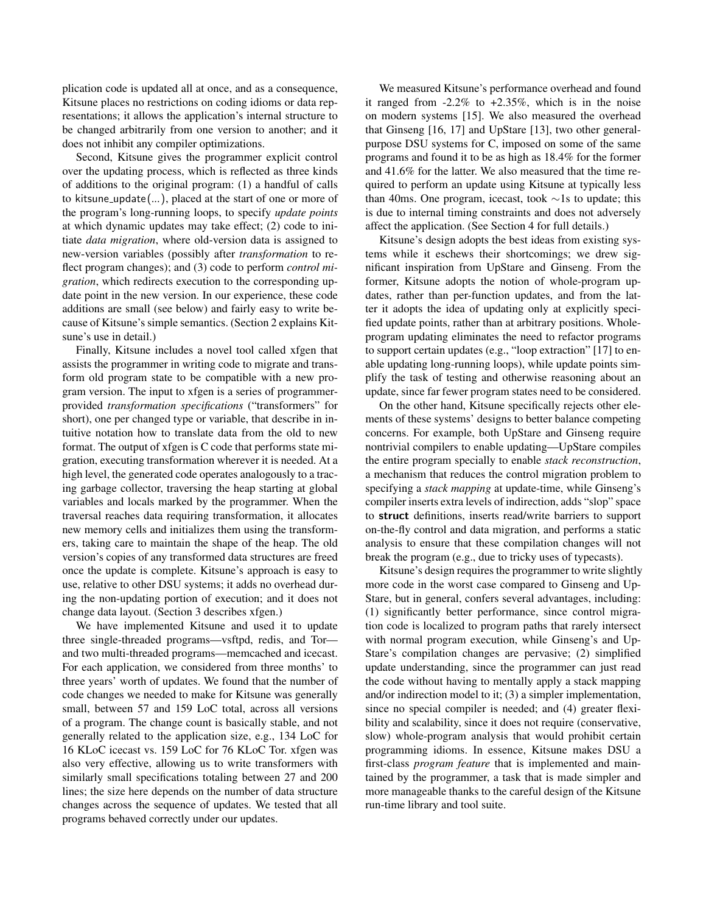plication code is updated all at once, and as a consequence, Kitsune places no restrictions on coding idioms or data representations; it allows the application's internal structure to be changed arbitrarily from one version to another; and it does not inhibit any compiler optimizations.

Second, Kitsune gives the programmer explicit control over the updating process, which is reflected as three kinds of additions to the original program: (1) a handful of calls to kitsune update(*...*), placed at the start of one or more of the program's long-running loops, to specify *update points* at which dynamic updates may take effect; (2) code to initiate *data migration*, where old-version data is assigned to new-version variables (possibly after *transformation* to reflect program changes); and (3) code to perform *control migration*, which redirects execution to the corresponding update point in the new version. In our experience, these code additions are small (see below) and fairly easy to write because of Kitsune's simple semantics. (Section 2 explains Kitsune's use in detail.)

Finally, Kitsune includes a novel tool called xfgen that assists the programmer in writing code to migrate and transform old program state to be compatible with a new program version. The input to xfgen is a series of programmerprovided *transformation specifications* ("transformers" for short), one per changed type or variable, that describe in intuitive notation how to translate data from the old to new format. The output of xfgen is C code that performs state migration, executing transformation wherever it is needed. At a high level, the generated code operates analogously to a tracing garbage collector, traversing the heap starting at global variables and locals marked by the programmer. When the traversal reaches data requiring transformation, it allocates new memory cells and initializes them using the transformers, taking care to maintain the shape of the heap. The old version's copies of any transformed data structures are freed once the update is complete. Kitsune's approach is easy to use, relative to other DSU systems; it adds no overhead during the non-updating portion of execution; and it does not change data layout. (Section 3 describes xfgen.)

We have implemented Kitsune and used it to update three single-threaded programs—vsftpd, redis, and Tor and two multi-threaded programs—memcached and icecast. For each application, we considered from three months' to three years' worth of updates. We found that the number of code changes we needed to make for Kitsune was generally small, between 57 and 159 LoC total, across all versions of a program. The change count is basically stable, and not generally related to the application size, e.g., 134 LoC for 16 KLoC icecast vs. 159 LoC for 76 KLoC Tor. xfgen was also very effective, allowing us to write transformers with similarly small specifications totaling between 27 and 200 lines; the size here depends on the number of data structure changes across the sequence of updates. We tested that all programs behaved correctly under our updates.

We measured Kitsune's performance overhead and found it ranged from  $-2.2\%$  to  $+2.35\%$ , which is in the noise on modern systems [15]. We also measured the overhead that Ginseng [16, 17] and UpStare [13], two other generalpurpose DSU systems for C, imposed on some of the same programs and found it to be as high as 18.4% for the former and 41.6% for the latter. We also measured that the time required to perform an update using Kitsune at typically less than 40ms. One program, icecast, took ∼1s to update; this is due to internal timing constraints and does not adversely affect the application. (See Section 4 for full details.)

Kitsune's design adopts the best ideas from existing systems while it eschews their shortcomings; we drew significant inspiration from UpStare and Ginseng. From the former, Kitsune adopts the notion of whole-program updates, rather than per-function updates, and from the latter it adopts the idea of updating only at explicitly specified update points, rather than at arbitrary positions. Wholeprogram updating eliminates the need to refactor programs to support certain updates (e.g., "loop extraction" [17] to enable updating long-running loops), while update points simplify the task of testing and otherwise reasoning about an update, since far fewer program states need to be considered.

On the other hand, Kitsune specifically rejects other elements of these systems' designs to better balance competing concerns. For example, both UpStare and Ginseng require nontrivial compilers to enable updating—UpStare compiles the entire program specially to enable *stack reconstruction*, a mechanism that reduces the control migration problem to specifying a *stack mapping* at update-time, while Ginseng's compiler inserts extra levels of indirection, adds "slop" space to struct definitions, inserts read/write barriers to support on-the-fly control and data migration, and performs a static analysis to ensure that these compilation changes will not break the program (e.g., due to tricky uses of typecasts).

Kitsune's design requires the programmer to write slightly more code in the worst case compared to Ginseng and Up-Stare, but in general, confers several advantages, including: (1) significantly better performance, since control migration code is localized to program paths that rarely intersect with normal program execution, while Ginseng's and Up-Stare's compilation changes are pervasive; (2) simplified update understanding, since the programmer can just read the code without having to mentally apply a stack mapping and/or indirection model to it; (3) a simpler implementation, since no special compiler is needed; and (4) greater flexibility and scalability, since it does not require (conservative, slow) whole-program analysis that would prohibit certain programming idioms. In essence, Kitsune makes DSU a first-class *program feature* that is implemented and maintained by the programmer, a task that is made simpler and more manageable thanks to the careful design of the Kitsune run-time library and tool suite.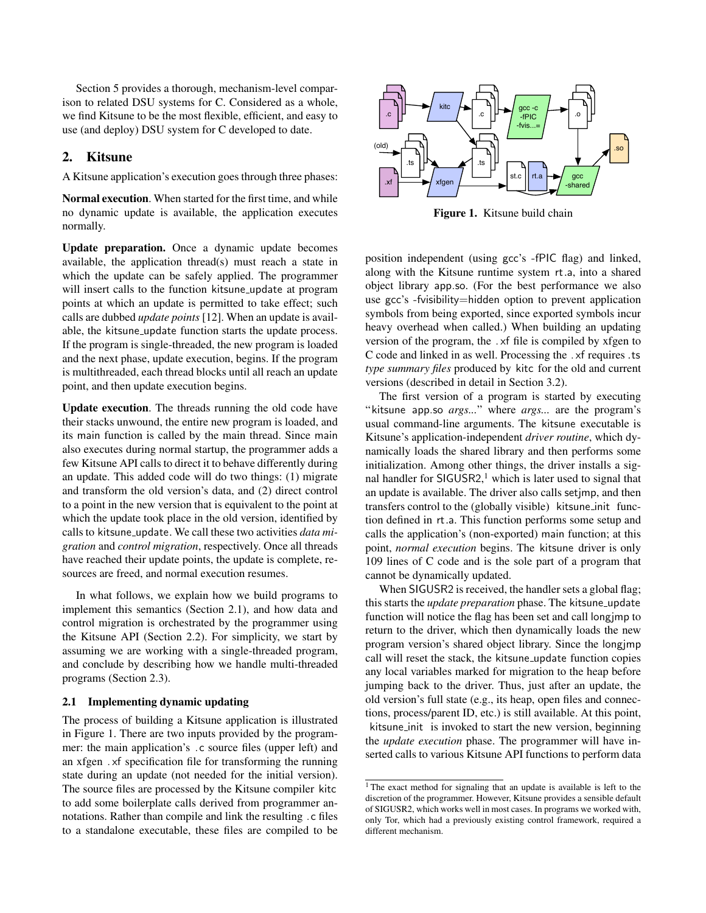Section 5 provides a thorough, mechanism-level comparison to related DSU systems for C. Considered as a whole, we find Kitsune to be the most flexible, efficient, and easy to use (and deploy) DSU system for C developed to date.

## 2. Kitsune

A Kitsune application's execution goes through three phases:

Normal execution. When started for the first time, and while no dynamic update is available, the application executes normally.

Update preparation. Once a dynamic update becomes available, the application thread(s) must reach a state in which the update can be safely applied. The programmer will insert calls to the function kitsune update at program points at which an update is permitted to take effect; such calls are dubbed *update points* [12]. When an update is available, the kitsune update function starts the update process. If the program is single-threaded, the new program is loaded and the next phase, update execution, begins. If the program is multithreaded, each thread blocks until all reach an update point, and then update execution begins.

Update execution. The threads running the old code have their stacks unwound, the entire new program is loaded, and its main function is called by the main thread. Since main also executes during normal startup, the programmer adds a few Kitsune API calls to direct it to behave differently during an update. This added code will do two things: (1) migrate and transform the old version's data, and (2) direct control to a point in the new version that is equivalent to the point at which the update took place in the old version, identified by calls to kitsune update. We call these two activities *data migration* and *control migration*, respectively. Once all threads have reached their update points, the update is complete, resources are freed, and normal execution resumes.

In what follows, we explain how we build programs to implement this semantics (Section 2.1), and how data and control migration is orchestrated by the programmer using the Kitsune API (Section 2.2). For simplicity, we start by assuming we are working with a single-threaded program, and conclude by describing how we handle multi-threaded programs (Section 2.3).

#### 2.1 Implementing dynamic updating

The process of building a Kitsune application is illustrated in Figure 1. There are two inputs provided by the programmer: the main application's .c source files (upper left) and an xfgen . xf specification file for transforming the running state during an update (not needed for the initial version). The source files are processed by the Kitsune compiler kitc to add some boilerplate calls derived from programmer annotations. Rather than compile and link the resulting .c files to a standalone executable, these files are compiled to be



Figure 1. Kitsune build chain

position independent (using gcc's -fPIC flag) and linked, along with the Kitsune runtime system rt.a, into a shared object library app.so. (For the best performance we also use gcc's -fvisibility=hidden option to prevent application symbols from being exported, since exported symbols incur heavy overhead when called.) When building an updating version of the program, the . xf file is compiled by xfgen to C code and linked in as well. Processing the . xf requires .ts *type summary files* produced by kitc for the old and current versions (described in detail in Section 3.2).

The first version of a program is started by executing "kitsune app.so *args...*" where *args...* are the program's usual command-line arguments. The kitsune executable is Kitsune's application-independent *driver routine*, which dynamically loads the shared library and then performs some initialization. Among other things, the driver installs a signal handler for SIGUSR2,<sup>1</sup> which is later used to signal that an update is available. The driver also calls setjmp, and then transfers control to the (globally visible) kitsune init function defined in rt.a. This function performs some setup and calls the application's (non-exported) main function; at this point, *normal execution* begins. The kitsune driver is only 109 lines of C code and is the sole part of a program that cannot be dynamically updated.

When SIGUSR2 is received, the handler sets a global flag; this starts the *update preparation* phase. The kitsune update function will notice the flag has been set and call longjmp to return to the driver, which then dynamically loads the new program version's shared object library. Since the longjmp call will reset the stack, the kitsune update function copies any local variables marked for migration to the heap before jumping back to the driver. Thus, just after an update, the old version's full state (e.g., its heap, open files and connections, process/parent ID, etc.) is still available. At this point, kitsune init is invoked to start the new version, beginning the *update execution* phase. The programmer will have inserted calls to various Kitsune API functions to perform data

<sup>&</sup>lt;sup>1</sup> The exact method for signaling that an update is available is left to the discretion of the programmer. However, Kitsune provides a sensible default of SIGUSR2, which works well in most cases. In programs we worked with, only Tor, which had a previously existing control framework, required a different mechanism.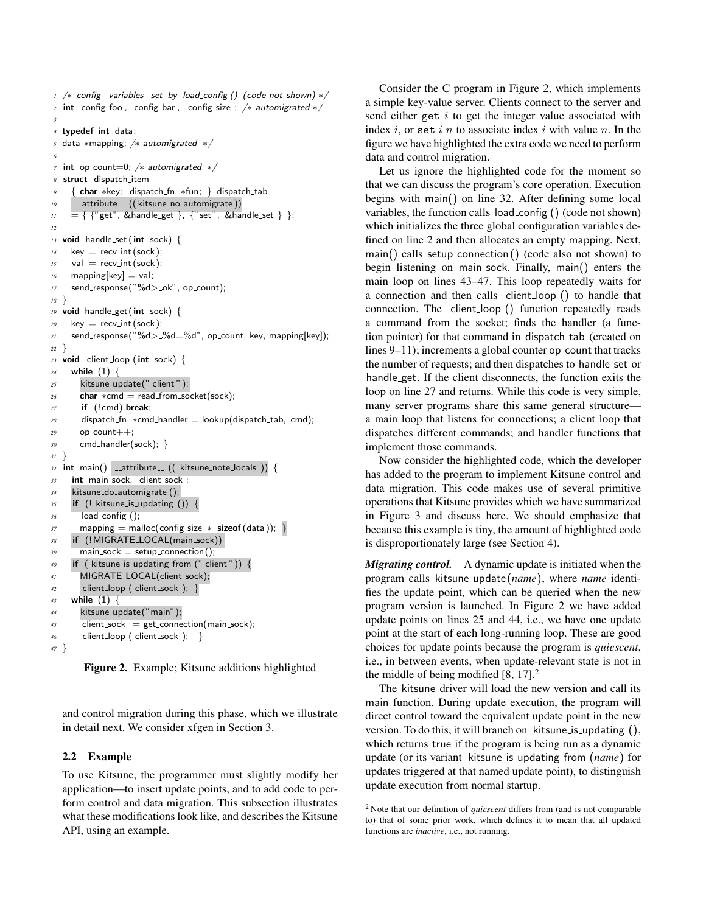```
1 /∗ config variables set by load config () (code not shown) ∗/
2 int config_foo, config_bar, config_size ; /* automigrated */
 3
4 typedef int data;
5 data ∗mapping; /∗ automigrated ∗/
6
7 int op count=0; /∗ automigrated ∗/
8 struct dispatch item
     9 { char ∗key; dispatch fn ∗fun; } dispatch tab
10 attribute<sub>--</sub> (( kitsune no automigrate ))
11 = \{ \{ "get", \& handle.get } \}, \{ "set", \& handle_set } \};12
13 void handle set ( int sock) {
14 key = recv_int (sock);
15 val = recv_int (sock);
16 mapping[key] = val;
17 send_response("%d>_ok", op_count);
18 }
19 void handle_get (int sock) {
20 key = recv_int (sock);
21 send_response("%d> _%d=%d", op_count, key, mapping[key]);
22 }
23 void client loop ( int sock) {
24 while (1) {
25 kitsune update(" client ");
26 char *cmd = read_from_socket(sock);
27 if (!cmd) break;
28 dispatch_fn ∗cmd_handler = lookup(dispatch_tab, cmd);
29 op_count++:
30 cmd handler(sock); }
\sqrt{3}I32 int main() __attribute__ (( kitsune_note_locals )) {
33 int main sock, client sock ;
34 kitsune do automigrate ();
35 if (! kitsune_is_updating ()) {
36 load config ();
37 mapping = malloc(config_size * sizeof(data)); }
38 if (!MIGRATE LOCAL(main sock))
39 main sock = setup connection();
40 if ( kitsune_is_updating_from (" client")) {
41 MIGRATE LOCAL(client sock);
42 client loop ( client sock ); }
43 while (1) {
44 kitsune update("main");
45 client_sock = get_connection(main_sock);
46 client_loop ( client_sock ); }
47 }
```
Figure 2. Example; Kitsune additions highlighted

and control migration during this phase, which we illustrate in detail next. We consider xfgen in Section 3.

## 2.2 Example

To use Kitsune, the programmer must slightly modify her application—to insert update points, and to add code to perform control and data migration. This subsection illustrates what these modifications look like, and describes the Kitsune API, using an example.

Consider the C program in Figure 2, which implements a simple key-value server. Clients connect to the server and send either get  $i$  to get the integer value associated with index i, or set i n to associate index i with value n. In the figure we have highlighted the extra code we need to perform data and control migration.

Let us ignore the highlighted code for the moment so that we can discuss the program's core operation. Execution begins with main() on line 32. After defining some local variables, the function calls load config () (code not shown) which initializes the three global configuration variables defined on line 2 and then allocates an empty mapping. Next, main() calls setup connection () (code also not shown) to begin listening on main sock. Finally, main() enters the main loop on lines 43–47. This loop repeatedly waits for a connection and then calls client loop () to handle that connection. The client loop () function repeatedly reads a command from the socket; finds the handler (a function pointer) for that command in dispatch\_tab (created on lines 9–11); increments a global counter op\_count that tracks the number of requests; and then dispatches to handle\_set or handle get. If the client disconnects, the function exits the loop on line 27 and returns. While this code is very simple, many server programs share this same general structure a main loop that listens for connections; a client loop that dispatches different commands; and handler functions that implement those commands.

Now consider the highlighted code, which the developer has added to the program to implement Kitsune control and data migration. This code makes use of several primitive operations that Kitsune provides which we have summarized in Figure 3 and discuss here. We should emphasize that because this example is tiny, the amount of highlighted code is disproportionately large (see Section 4).

*Migrating control.* A dynamic update is initiated when the program calls kitsune update(*name*), where *name* identifies the update point, which can be queried when the new program version is launched. In Figure 2 we have added update points on lines 25 and 44, i.e., we have one update point at the start of each long-running loop. These are good choices for update points because the program is *quiescent*, i.e., in between events, when update-relevant state is not in the middle of being modified  $[8, 17]$ .

The kitsune driver will load the new version and call its main function. During update execution, the program will direct control toward the equivalent update point in the new version. To do this, it will branch on kitsune is updating (), which returns true if the program is being run as a dynamic update (or its variant kitsune is updating from (*name*) for updates triggered at that named update point), to distinguish update execution from normal startup.

<sup>2</sup> Note that our definition of *quiescent* differs from (and is not comparable to) that of some prior work, which defines it to mean that all updated functions are *inactive*, i.e., not running.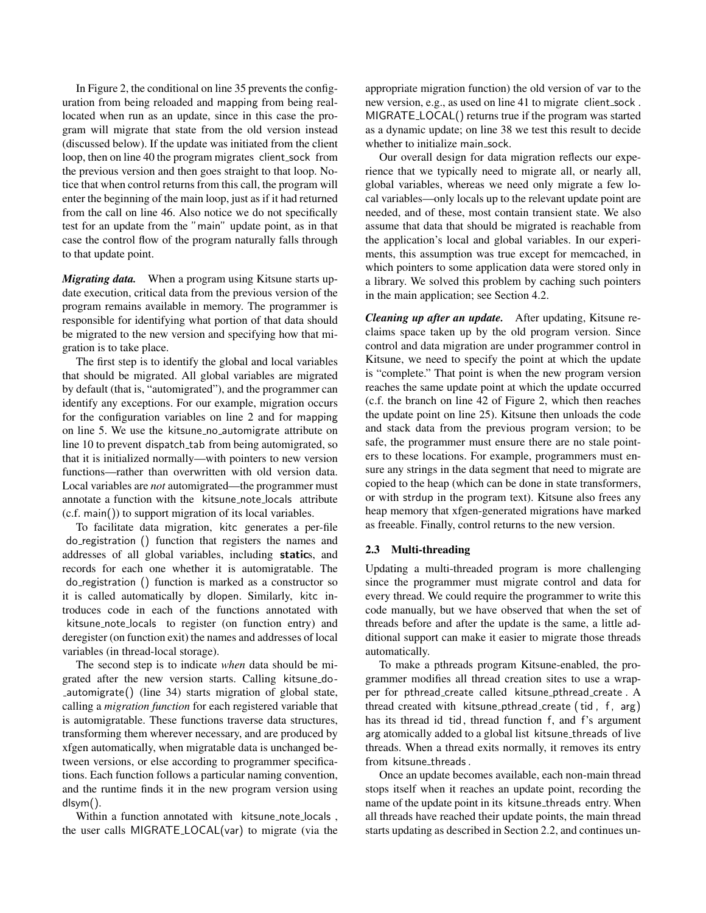In Figure 2, the conditional on line 35 prevents the configuration from being reloaded and mapping from being reallocated when run as an update, since in this case the program will migrate that state from the old version instead (discussed below). If the update was initiated from the client loop, then on line 40 the program migrates client\_sock from the previous version and then goes straight to that loop. Notice that when control returns from this call, the program will enter the beginning of the main loop, just as if it had returned from the call on line 46. Also notice we do not specifically test for an update from the "main" update point, as in that case the control flow of the program naturally falls through to that update point.

*Migrating data.* When a program using Kitsune starts update execution, critical data from the previous version of the program remains available in memory. The programmer is responsible for identifying what portion of that data should be migrated to the new version and specifying how that migration is to take place.

The first step is to identify the global and local variables that should be migrated. All global variables are migrated by default (that is, "automigrated"), and the programmer can identify any exceptions. For our example, migration occurs for the configuration variables on line 2 and for mapping on line 5. We use the kitsune no automigrate attribute on line 10 to prevent dispatch tab from being automigrated, so that it is initialized normally—with pointers to new version functions—rather than overwritten with old version data. Local variables are *not* automigrated—the programmer must annotate a function with the kitsune note locals attribute (c.f. main()) to support migration of its local variables.

To facilitate data migration, kitc generates a per-file do registration () function that registers the names and addresses of all global variables, including statics, and records for each one whether it is automigratable. The do registration () function is marked as a constructor so it is called automatically by dlopen. Similarly, kitc introduces code in each of the functions annotated with kitsune note locals to register (on function entry) and deregister (on function exit) the names and addresses of local variables (in thread-local storage).

The second step is to indicate *when* data should be migrated after the new version starts. Calling kitsune doautomigrate() (line 34) starts migration of global state, calling a *migration function* for each registered variable that is automigratable. These functions traverse data structures, transforming them wherever necessary, and are produced by xfgen automatically, when migratable data is unchanged between versions, or else according to programmer specifications. Each function follows a particular naming convention, and the runtime finds it in the new program version using dlsym().

Within a function annotated with kitsune\_note\_locals, the user calls MIGRATE LOCAL(var) to migrate (via the

appropriate migration function) the old version of var to the new version, e.g., as used on line 41 to migrate client\_sock. MIGRATE LOCAL() returns true if the program was started as a dynamic update; on line 38 we test this result to decide whether to initialize main\_sock.

Our overall design for data migration reflects our experience that we typically need to migrate all, or nearly all, global variables, whereas we need only migrate a few local variables—only locals up to the relevant update point are needed, and of these, most contain transient state. We also assume that data that should be migrated is reachable from the application's local and global variables. In our experiments, this assumption was true except for memcached, in which pointers to some application data were stored only in a library. We solved this problem by caching such pointers in the main application; see Section 4.2.

*Cleaning up after an update.* After updating, Kitsune reclaims space taken up by the old program version. Since control and data migration are under programmer control in Kitsune, we need to specify the point at which the update is "complete." That point is when the new program version reaches the same update point at which the update occurred (c.f. the branch on line 42 of Figure 2, which then reaches the update point on line 25). Kitsune then unloads the code and stack data from the previous program version; to be safe, the programmer must ensure there are no stale pointers to these locations. For example, programmers must ensure any strings in the data segment that need to migrate are copied to the heap (which can be done in state transformers, or with strdup in the program text). Kitsune also frees any heap memory that xfgen-generated migrations have marked as freeable. Finally, control returns to the new version.

#### 2.3 Multi-threading

Updating a multi-threaded program is more challenging since the programmer must migrate control and data for every thread. We could require the programmer to write this code manually, but we have observed that when the set of threads before and after the update is the same, a little additional support can make it easier to migrate those threads automatically.

To make a pthreads program Kitsune-enabled, the programmer modifies all thread creation sites to use a wrapper for pthread create called kitsune pthread create . A thread created with kitsune pthread create (tid, f, arg) has its thread id tid, thread function f, and f's argument arg atomically added to a global list kitsune threads of live threads. When a thread exits normally, it removes its entry from kitsune\_threads.

Once an update becomes available, each non-main thread stops itself when it reaches an update point, recording the name of the update point in its kitsune\_threads entry. When all threads have reached their update points, the main thread starts updating as described in Section 2.2, and continues un-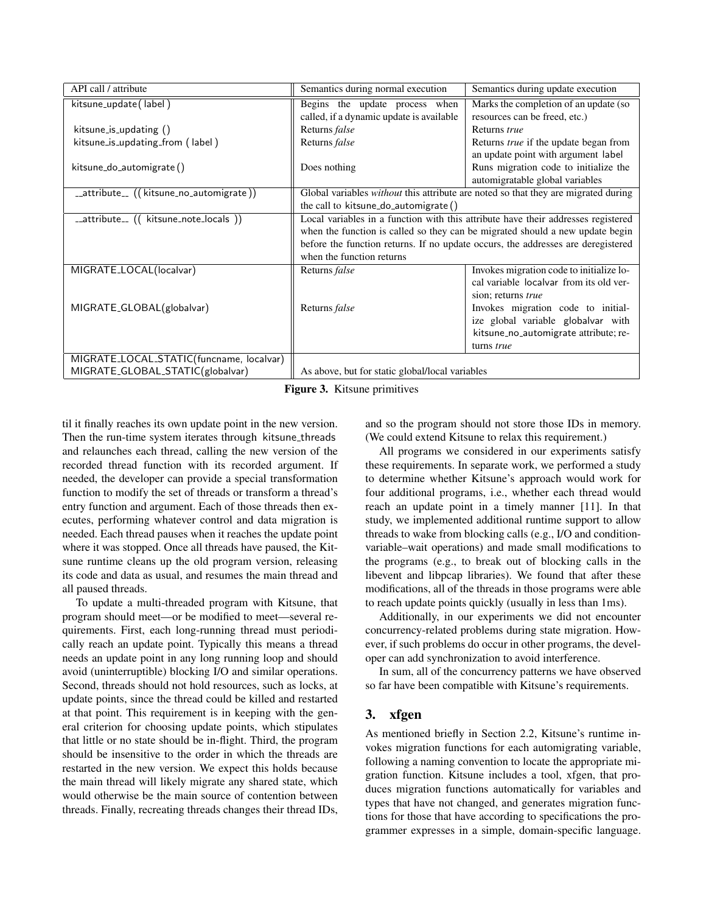| API call / attribute                     | Semantics during normal execution                                                | Semantics during update execution                                                  |  |  |  |
|------------------------------------------|----------------------------------------------------------------------------------|------------------------------------------------------------------------------------|--|--|--|
| kitsune_update(label)                    | Begins the update process when                                                   | Marks the completion of an update (so                                              |  |  |  |
|                                          | called, if a dynamic update is available                                         | resources can be freed, etc.)                                                      |  |  |  |
| kitsune_is_updating ()                   | Returns false                                                                    | Returns true                                                                       |  |  |  |
| kitsune_is_updating_from (label)         | Returns <i>false</i>                                                             | Returns <i>true</i> if the update began from                                       |  |  |  |
|                                          |                                                                                  | an update point with argument label                                                |  |  |  |
| kitsune_do_automigrate()                 | Does nothing                                                                     | Runs migration code to initialize the                                              |  |  |  |
|                                          |                                                                                  | automigratable global variables                                                    |  |  |  |
| __attribute__ ((kitsune_no_automigrate)) |                                                                                  | Global variables without this attribute are noted so that they are migrated during |  |  |  |
|                                          | the call to kitsune do automigrate ()                                            |                                                                                    |  |  |  |
| __attribute__ (( kitsune_note_locals ))  |                                                                                  | Local variables in a function with this attribute have their addresses registered  |  |  |  |
|                                          | when the function is called so they can be migrated should a new update begin    |                                                                                    |  |  |  |
|                                          | before the function returns. If no update occurs, the addresses are deregistered |                                                                                    |  |  |  |
|                                          | when the function returns                                                        |                                                                                    |  |  |  |
| MIGRATE_LOCAL(localvar)                  | Returns false                                                                    | Invokes migration code to initialize lo-                                           |  |  |  |
|                                          |                                                                                  | cal variable localvar from its old ver-                                            |  |  |  |
|                                          |                                                                                  | sion; returns <i>true</i>                                                          |  |  |  |
| MIGRATE_GLOBAL(globalvar)                | Returns false                                                                    | Invokes migration code to initial-                                                 |  |  |  |
|                                          |                                                                                  | ize global variable globalvar with                                                 |  |  |  |
|                                          |                                                                                  | kitsune_no_automigrate attribute; re-                                              |  |  |  |
|                                          |                                                                                  | turns true                                                                         |  |  |  |
| MIGRATE_LOCAL_STATIC(funcname, localvar) |                                                                                  |                                                                                    |  |  |  |
| MIGRATE_GLOBAL_STATIC(globalvar)         | As above, but for static global/local variables                                  |                                                                                    |  |  |  |

Figure 3. Kitsune primitives

til it finally reaches its own update point in the new version. Then the run-time system iterates through kitsune\_threads and relaunches each thread, calling the new version of the recorded thread function with its recorded argument. If needed, the developer can provide a special transformation function to modify the set of threads or transform a thread's entry function and argument. Each of those threads then executes, performing whatever control and data migration is needed. Each thread pauses when it reaches the update point where it was stopped. Once all threads have paused, the Kitsune runtime cleans up the old program version, releasing its code and data as usual, and resumes the main thread and all paused threads.

To update a multi-threaded program with Kitsune, that program should meet—or be modified to meet—several requirements. First, each long-running thread must periodically reach an update point. Typically this means a thread needs an update point in any long running loop and should avoid (uninterruptible) blocking I/O and similar operations. Second, threads should not hold resources, such as locks, at update points, since the thread could be killed and restarted at that point. This requirement is in keeping with the general criterion for choosing update points, which stipulates that little or no state should be in-flight. Third, the program should be insensitive to the order in which the threads are restarted in the new version. We expect this holds because the main thread will likely migrate any shared state, which would otherwise be the main source of contention between threads. Finally, recreating threads changes their thread IDs,

and so the program should not store those IDs in memory. (We could extend Kitsune to relax this requirement.)

All programs we considered in our experiments satisfy these requirements. In separate work, we performed a study to determine whether Kitsune's approach would work for four additional programs, i.e., whether each thread would reach an update point in a timely manner [11]. In that study, we implemented additional runtime support to allow threads to wake from blocking calls (e.g., I/O and conditionvariable–wait operations) and made small modifications to the programs (e.g., to break out of blocking calls in the libevent and libpcap libraries). We found that after these modifications, all of the threads in those programs were able to reach update points quickly (usually in less than 1ms).

Additionally, in our experiments we did not encounter concurrency-related problems during state migration. However, if such problems do occur in other programs, the developer can add synchronization to avoid interference.

In sum, all of the concurrency patterns we have observed so far have been compatible with Kitsune's requirements.

## 3. xfgen

As mentioned briefly in Section 2.2, Kitsune's runtime invokes migration functions for each automigrating variable, following a naming convention to locate the appropriate migration function. Kitsune includes a tool, xfgen, that produces migration functions automatically for variables and types that have not changed, and generates migration functions for those that have according to specifications the programmer expresses in a simple, domain-specific language.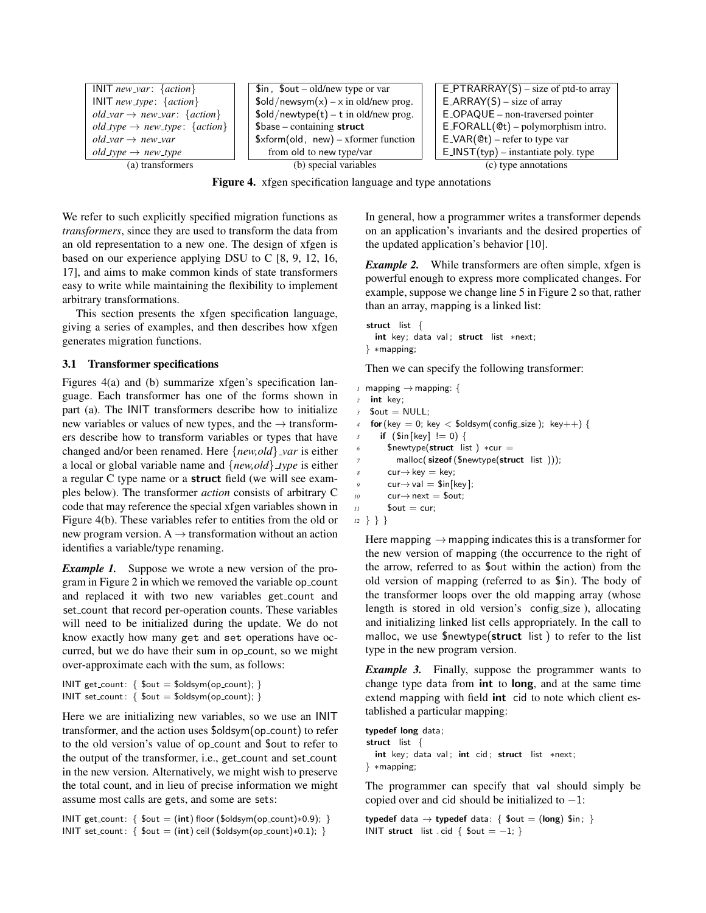

Figure 4. xfgen specification language and type annotations

We refer to such explicitly specified migration functions as *transformers*, since they are used to transform the data from an old representation to a new one. The design of xfgen is based on our experience applying DSU to C [8, 9, 12, 16, 17], and aims to make common kinds of state transformers easy to write while maintaining the flexibility to implement arbitrary transformations.

This section presents the xfgen specification language, giving a series of examples, and then describes how xfgen generates migration functions.

#### 3.1 Transformer specifications

Figures 4(a) and (b) summarize xfgen's specification language. Each transformer has one of the forms shown in part (a). The INIT transformers describe how to initialize new variables or values of new types, and the  $\rightarrow$  transformers describe how to transform variables or types that have changed and/or been renamed. Here {*new,old*} *var* is either a local or global variable name and {*new,old*} *type* is either a regular C type name or a struct field (we will see examples below). The transformer *action* consists of arbitrary C code that may reference the special xfgen variables shown in Figure 4(b). These variables refer to entities from the old or new program version.  $A \rightarrow$  transformation without an action identifies a variable/type renaming.

*Example 1.* Suppose we wrote a new version of the program in Figure 2 in which we removed the variable op count and replaced it with two new variables get count and set\_count that record per-operation counts. These variables will need to be initialized during the update. We do not know exactly how many get and set operations have occurred, but we do have their sum in op count, so we might over-approximate each with the sum, as follows:

```
INIT get_count: \{ $out = $oldsym(op_count); \}INIT set_count: { $out = $oldsym(op_count); }
```
Here we are initializing new variables, so we use an INIT transformer, and the action uses \$oldsym(op count) to refer to the old version's value of op count and \$out to refer to the output of the transformer, i.e., get\_count and set\_count in the new version. Alternatively, we might wish to preserve the total count, and in lieu of precise information we might assume most calls are gets, and some are sets:

INIT get\_count:  $\{$  \$out = (int) floor (\$oldsym(op\_count)\*0.9); } INIT set\_count:  $\{$  \$out = (int) ceil (\$oldsym(op\_count)\*0.1); }

In general, how a programmer writes a transformer depends on an application's invariants and the desired properties of the updated application's behavior [10].

**Example 2.** While transformers are often simple, xfgen is powerful enough to express more complicated changes. For example, suppose we change line 5 in Figure 2 so that, rather than an array, mapping is a linked list:

```
struct list {
 int key; data val; struct list ∗next;
} ∗mapping;
```
Then we can specify the following transformer:

```
\mu mapping \rightarrow mapping: {
2 int key;
    $out = NULL;for (key = 0; key < $oldsym (config_size ); key++) {
      if (\text{Sin} [key] != 0) {
        6 $newtype(struct list ) ∗cur =
           malloc(sizeof($newtype(struct list)));
         cur \rightarrow \text{keV} = \text{keV};
         cur \rightarrow val = $in[key];
10 cur\rightarrow next = $out;
11 $out = cur;12 } } }
```
Here mapping  $\rightarrow$  mapping indicates this is a transformer for the new version of mapping (the occurrence to the right of the arrow, referred to as \$out within the action) from the old version of mapping (referred to as \$in). The body of the transformer loops over the old mapping array (whose length is stored in old version's config size ), allocating and initializing linked list cells appropriately. In the call to malloc, we use \$newtype(struct list) to refer to the list type in the new program version.

*Example 3.* Finally, suppose the programmer wants to change type data from int to long, and at the same time extend mapping with field int cid to note which client established a particular mapping:

```
typedef long data;
```

```
struct list {
 int key; data val; int cid; struct list ∗next;
} ∗mapping;
```
The programmer can specify that val should simply be copied over and cid should be initialized to  $-1$ :

typedef data  $\rightarrow$  typedef data: { \$out = (long) \$in; } INIT struct list . cid {  $$out = -1;$  }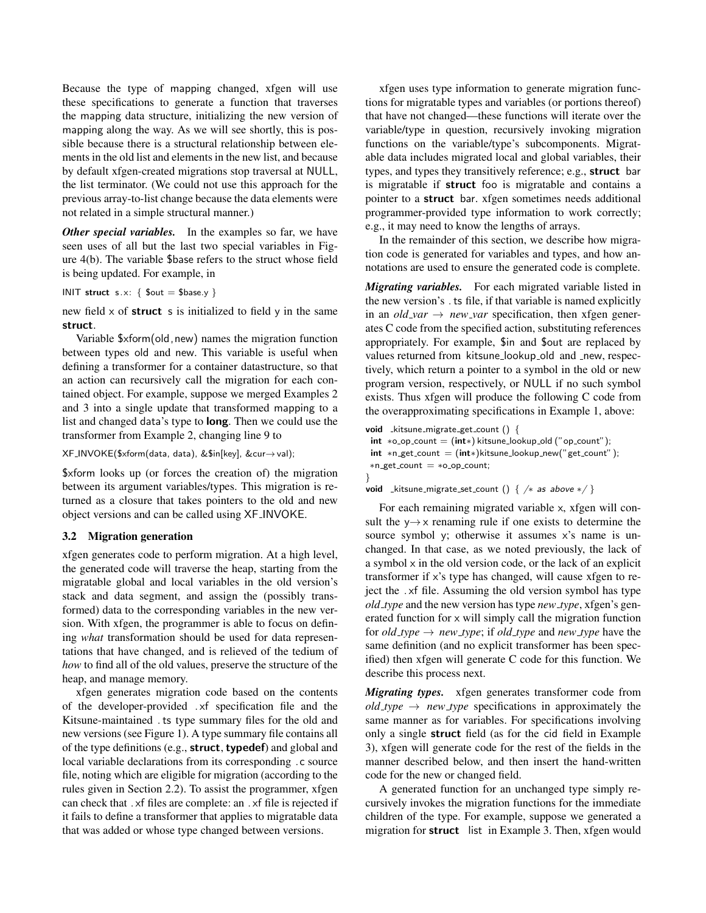Because the type of mapping changed, xfgen will use these specifications to generate a function that traverses the mapping data structure, initializing the new version of mapping along the way. As we will see shortly, this is possible because there is a structural relationship between elements in the old list and elements in the new list, and because by default xfgen-created migrations stop traversal at NULL, the list terminator. (We could not use this approach for the previous array-to-list change because the data elements were not related in a simple structural manner.)

*Other special variables.* In the examples so far, we have seen uses of all but the last two special variables in Figure 4(b). The variable \$base refers to the struct whose field is being updated. For example, in

INIT struct  $s.x: \{$  \$out = \$base.y }

new field  $x$  of **struct** s is initialized to field  $y$  in the same struct.

Variable \$xform(old,new) names the migration function between types old and new. This variable is useful when defining a transformer for a container datastructure, so that an action can recursively call the migration for each contained object. For example, suppose we merged Examples 2 and 3 into a single update that transformed mapping to a list and changed data's type to long. Then we could use the transformer from Example 2, changing line 9 to

XF INVOKE(\$xform(data, data), &\$in[key], &cur→ val);

\$xform looks up (or forces the creation of) the migration between its argument variables/types. This migration is returned as a closure that takes pointers to the old and new object versions and can be called using XF INVOKE.

#### 3.2 Migration generation

xfgen generates code to perform migration. At a high level, the generated code will traverse the heap, starting from the migratable global and local variables in the old version's stack and data segment, and assign the (possibly transformed) data to the corresponding variables in the new version. With xfgen, the programmer is able to focus on defining *what* transformation should be used for data representations that have changed, and is relieved of the tedium of *how* to find all of the old values, preserve the structure of the heap, and manage memory.

xfgen generates migration code based on the contents of the developer-provided . xf specification file and the Kitsune-maintained . ts type summary files for the old and new versions (see Figure 1). A type summary file contains all of the type definitions (e.g., struct, typedef) and global and local variable declarations from its corresponding .c source file, noting which are eligible for migration (according to the rules given in Section 2.2). To assist the programmer, xfgen can check that . xf files are complete: an . xf file is rejected if it fails to define a transformer that applies to migratable data that was added or whose type changed between versions.

xfgen uses type information to generate migration functions for migratable types and variables (or portions thereof) that have not changed—these functions will iterate over the variable/type in question, recursively invoking migration functions on the variable/type's subcomponents. Migratable data includes migrated local and global variables, their types, and types they transitively reference; e.g., struct bar is migratable if struct foo is migratable and contains a pointer to a struct bar. xfgen sometimes needs additional programmer-provided type information to work correctly; e.g., it may need to know the lengths of arrays.

In the remainder of this section, we describe how migration code is generated for variables and types, and how annotations are used to ensure the generated code is complete.

*Migrating variables.* For each migrated variable listed in the new version's . ts file, if that variable is named explicitly in an *old\_var*  $\rightarrow$  *new\_var* specification, then xfgen generates C code from the specified action, substituting references appropriately. For example, \$in and \$out are replaced by values returned from kitsune\_lookup\_old and \_new, respectively, which return a pointer to a symbol in the old or new program version, respectively, or NULL if no such symbol exists. Thus xfgen will produce the following C code from the overapproximating specifications in Example 1, above:

```
void _kitsune_migrate_get_count () {
 int *o_op_count = (int*) kitsune_lookup_old ("op_count");
 int *n\_get\_count = (int*)kitsune_lookup_new("get_count");
 ∗n get count = ∗o op count;
}
```

```
void _kitsune_migrate_set_count () { /* as above */ }
```
For each remaining migrated variable x, xfgen will consult the  $y \rightarrow x$  renaming rule if one exists to determine the source symbol y; otherwise it assumes x's name is unchanged. In that case, as we noted previously, the lack of a symbol  $x$  in the old version code, or the lack of an explicit transformer if x's type has changed, will cause xfgen to reject the . xf file. Assuming the old version symbol has type *old type* and the new version has type *new type*, xfgen's generated function for x will simply call the migration function for *old\_type*  $\rightarrow$  *new\_type*; if *old\_type* and *new\_type* have the same definition (and no explicit transformer has been specified) then xfgen will generate C code for this function. We describe this process next.

*Migrating types.* xfgen generates transformer code from  $old\_type \rightarrow new\_type$  specifications in approximately the same manner as for variables. For specifications involving only a single struct field (as for the cid field in Example 3), xfgen will generate code for the rest of the fields in the manner described below, and then insert the hand-written code for the new or changed field.

A generated function for an unchanged type simply recursively invokes the migration functions for the immediate children of the type. For example, suppose we generated a migration for struct list in Example 3. Then, xfgen would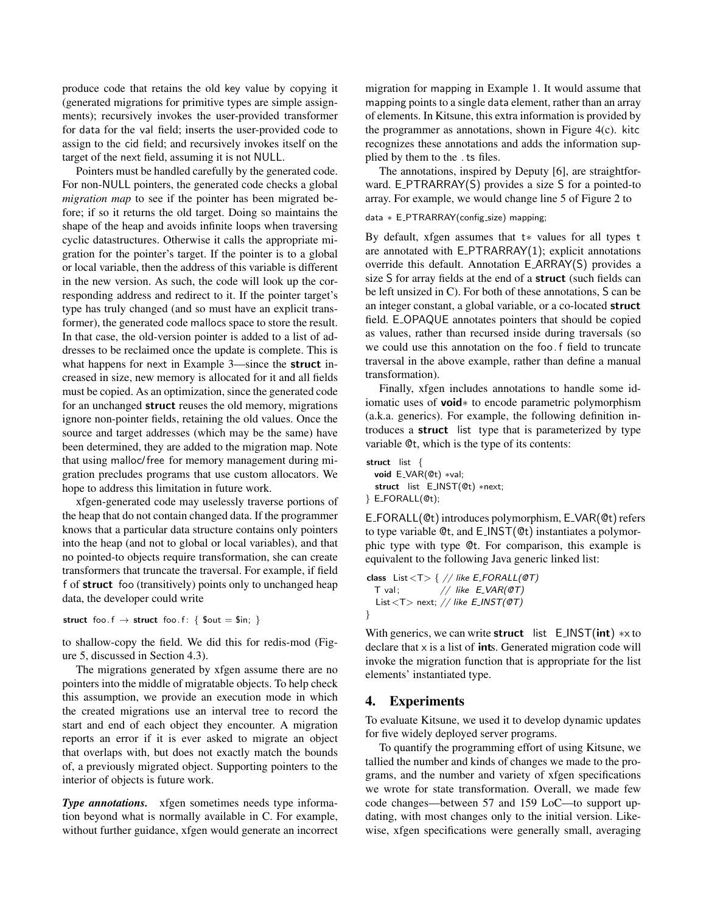produce code that retains the old key value by copying it (generated migrations for primitive types are simple assignments); recursively invokes the user-provided transformer for data for the val field; inserts the user-provided code to assign to the cid field; and recursively invokes itself on the target of the next field, assuming it is not NULL.

Pointers must be handled carefully by the generated code. For non-NULL pointers, the generated code checks a global *migration map* to see if the pointer has been migrated before; if so it returns the old target. Doing so maintains the shape of the heap and avoids infinite loops when traversing cyclic datastructures. Otherwise it calls the appropriate migration for the pointer's target. If the pointer is to a global or local variable, then the address of this variable is different in the new version. As such, the code will look up the corresponding address and redirect to it. If the pointer target's type has truly changed (and so must have an explicit transformer), the generated code mallocs space to store the result. In that case, the old-version pointer is added to a list of addresses to be reclaimed once the update is complete. This is what happens for next in Example 3—since the **struct** increased in size, new memory is allocated for it and all fields must be copied. As an optimization, since the generated code for an unchanged struct reuses the old memory, migrations ignore non-pointer fields, retaining the old values. Once the source and target addresses (which may be the same) have been determined, they are added to the migration map. Note that using malloc/free for memory management during migration precludes programs that use custom allocators. We hope to address this limitation in future work.

xfgen-generated code may uselessly traverse portions of the heap that do not contain changed data. If the programmer knows that a particular data structure contains only pointers into the heap (and not to global or local variables), and that no pointed-to objects require transformation, she can create transformers that truncate the traversal. For example, if field f of struct foo (transitively) points only to unchanged heap data, the developer could write

struct foo.  $f \rightarrow$  struct foo. f: { \$out = \$in; }

to shallow-copy the field. We did this for redis-mod (Figure 5, discussed in Section 4.3).

The migrations generated by xfgen assume there are no pointers into the middle of migratable objects. To help check this assumption, we provide an execution mode in which the created migrations use an interval tree to record the start and end of each object they encounter. A migration reports an error if it is ever asked to migrate an object that overlaps with, but does not exactly match the bounds of, a previously migrated object. Supporting pointers to the interior of objects is future work.

*Type annotations.* xfgen sometimes needs type information beyond what is normally available in C. For example, without further guidance, xfgen would generate an incorrect migration for mapping in Example 1. It would assume that mapping points to a single data element, rather than an array of elements. In Kitsune, this extra information is provided by the programmer as annotations, shown in Figure 4(c). kitc recognizes these annotations and adds the information supplied by them to the . ts files.

The annotations, inspired by Deputy [6], are straightforward. E\_PTRARRAY(S) provides a size S for a pointed-to array. For example, we would change line 5 of Figure 2 to

#### data ∗ E PTRARRAY(config size) mapping;

By default, xfgen assumes that t∗ values for all types t are annotated with E\_PTRARRAY(1); explicit annotations override this default. Annotation E ARRAY(S) provides a size S for array fields at the end of a struct (such fields can be left unsized in C). For both of these annotations, S can be an integer constant, a global variable, or a co-located struct field. E OPAQUE annotates pointers that should be copied as values, rather than recursed inside during traversals (so we could use this annotation on the foo. f field to truncate traversal in the above example, rather than define a manual transformation).

Finally, xfgen includes annotations to handle some idiomatic uses of void∗ to encode parametric polymorphism (a.k.a. generics). For example, the following definition introduces a struct list type that is parameterized by type variable @t, which is the type of its contents:

struct list { void E\_VAR(@t) \*val; struct list E INST(@t) ∗next; } E FORALL(@t);

E FORALL(@t) introduces polymorphism, E VAR(@t) refers to type variable @t, and E INST(@t) instantiates a polymorphic type with type @t. For comparison, this example is equivalent to the following Java generic linked list:

class  $List < T>$  { // like E\_FORALL(@T) T val;  $//$  like  $E_VAR(\mathcal{QT})$ List  $<$ T $>$  next;  $//$  like  $E$ \_INST( $@T$ ) }

With generics, we can write struct list E\_INST(int) ∗x to declare that  $x$  is a list of ints. Generated migration code will invoke the migration function that is appropriate for the list elements' instantiated type.

## 4. Experiments

To evaluate Kitsune, we used it to develop dynamic updates for five widely deployed server programs.

To quantify the programming effort of using Kitsune, we tallied the number and kinds of changes we made to the programs, and the number and variety of xfgen specifications we wrote for state transformation. Overall, we made few code changes—between 57 and 159 LoC—to support updating, with most changes only to the initial version. Likewise, xfgen specifications were generally small, averaging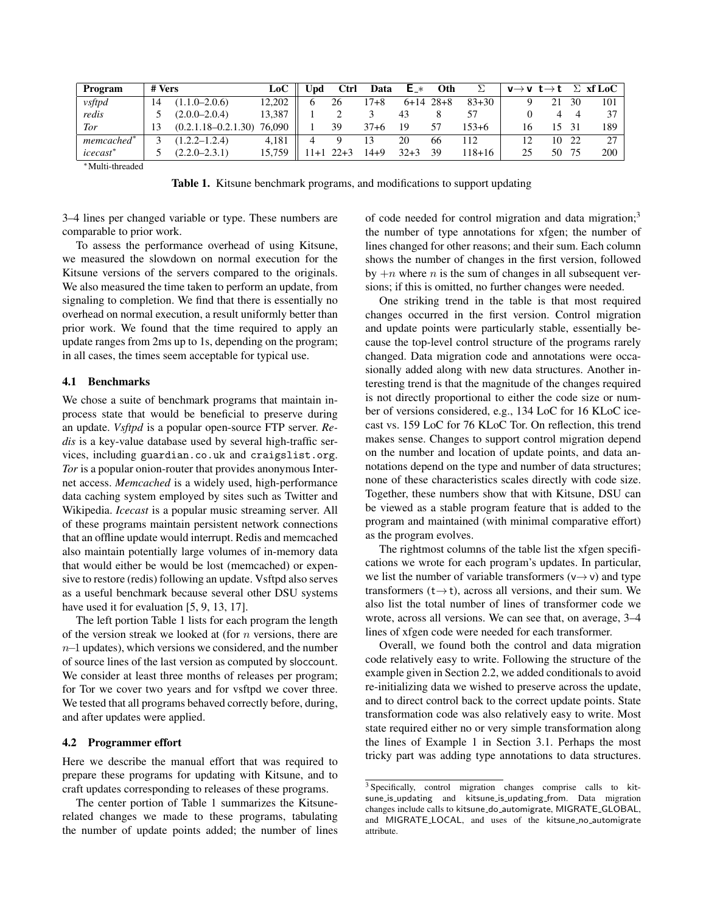| Program              | # Vers |                         | LoC    | Upd  | Ctrl   | Data    | $E_{-*}$ | Oth      |            |    |    |    | xf LoC |
|----------------------|--------|-------------------------|--------|------|--------|---------|----------|----------|------------|----|----|----|--------|
| vsftpd               | 14     | $(1.1.0 - 2.0.6)$       | 12,202 | h    | 26     | $7 + 8$ | 6+14     | $28 + 8$ | $83 + 30$  |    | 21 | 30 | 101    |
| redis                |        | $(2.0.0 - 2.0.4)$       | 13,387 |      |        |         | 43       |          |            |    |    |    | 37     |
| <b>Tor</b>           |        | $(0.2.1.18 - 0.2.1.30)$ | 76,090 |      | 39     | $37+6$  | 19       |          | 153+6      | 16 |    | 31 | 189    |
| memcached            |        | $(1.2.2 - 1.2.4)$       | 4.181  |      |        | 13      | 20       | 66       | 112        |    | 10 | 22 | 27     |
| icecast <sup>*</sup> |        | $(2.2.0 - 2.3.1)$       | 15.759 | $1+$ | $22+3$ | 14+9    | $32+3$   | 39       | $118 + 16$ | 25 | 50 | 75 | 200    |

<sup>∗</sup>Multi-threaded

Table 1. Kitsune benchmark programs, and modifications to support updating

3–4 lines per changed variable or type. These numbers are comparable to prior work.

To assess the performance overhead of using Kitsune, we measured the slowdown on normal execution for the Kitsune versions of the servers compared to the originals. We also measured the time taken to perform an update, from signaling to completion. We find that there is essentially no overhead on normal execution, a result uniformly better than prior work. We found that the time required to apply an update ranges from 2ms up to 1s, depending on the program; in all cases, the times seem acceptable for typical use.

#### 4.1 Benchmarks

We chose a suite of benchmark programs that maintain inprocess state that would be beneficial to preserve during an update. *Vsftpd* is a popular open-source FTP server. *Redis* is a key-value database used by several high-traffic services, including guardian.co.uk and craigslist.org. *Tor* is a popular onion-router that provides anonymous Internet access. *Memcached* is a widely used, high-performance data caching system employed by sites such as Twitter and Wikipedia. *Icecast* is a popular music streaming server. All of these programs maintain persistent network connections that an offline update would interrupt. Redis and memcached also maintain potentially large volumes of in-memory data that would either be would be lost (memcached) or expensive to restore (redis) following an update. Vsftpd also serves as a useful benchmark because several other DSU systems have used it for evaluation [5, 9, 13, 17].

The left portion Table 1 lists for each program the length of the version streak we looked at (for  $n$  versions, there are n−1 updates), which versions we considered, and the number of source lines of the last version as computed by sloccount. We consider at least three months of releases per program; for Tor we cover two years and for vsftpd we cover three. We tested that all programs behaved correctly before, during, and after updates were applied.

#### 4.2 Programmer effort

Here we describe the manual effort that was required to prepare these programs for updating with Kitsune, and to craft updates corresponding to releases of these programs.

The center portion of Table 1 summarizes the Kitsunerelated changes we made to these programs, tabulating the number of update points added; the number of lines

of code needed for control migration and data migration;<sup>3</sup> the number of type annotations for xfgen; the number of lines changed for other reasons; and their sum. Each column shows the number of changes in the first version, followed by  $+n$  where *n* is the sum of changes in all subsequent versions; if this is omitted, no further changes were needed.

One striking trend in the table is that most required changes occurred in the first version. Control migration and update points were particularly stable, essentially because the top-level control structure of the programs rarely changed. Data migration code and annotations were occasionally added along with new data structures. Another interesting trend is that the magnitude of the changes required is not directly proportional to either the code size or number of versions considered, e.g., 134 LoC for 16 KLoC icecast vs. 159 LoC for 76 KLoC Tor. On reflection, this trend makes sense. Changes to support control migration depend on the number and location of update points, and data annotations depend on the type and number of data structures; none of these characteristics scales directly with code size. Together, these numbers show that with Kitsune, DSU can be viewed as a stable program feature that is added to the program and maintained (with minimal comparative effort) as the program evolves.

The rightmost columns of the table list the xfgen specifications we wrote for each program's updates. In particular, we list the number of variable transformers ( $v \rightarrow v$ ) and type transformers ( $t \rightarrow t$ ), across all versions, and their sum. We also list the total number of lines of transformer code we wrote, across all versions. We can see that, on average, 3–4 lines of xfgen code were needed for each transformer.

Overall, we found both the control and data migration code relatively easy to write. Following the structure of the example given in Section 2.2, we added conditionals to avoid re-initializing data we wished to preserve across the update, and to direct control back to the correct update points. State transformation code was also relatively easy to write. Most state required either no or very simple transformation along the lines of Example 1 in Section 3.1. Perhaps the most tricky part was adding type annotations to data structures.

<sup>3</sup> Specifically, control migration changes comprise calls to kitsune is updating and kitsune is updating from. Data migration changes include calls to kitsune do automigrate, MIGRATE GLOBAL, and MIGRATE\_LOCAL, and uses of the kitsune\_no\_automigrate attribute.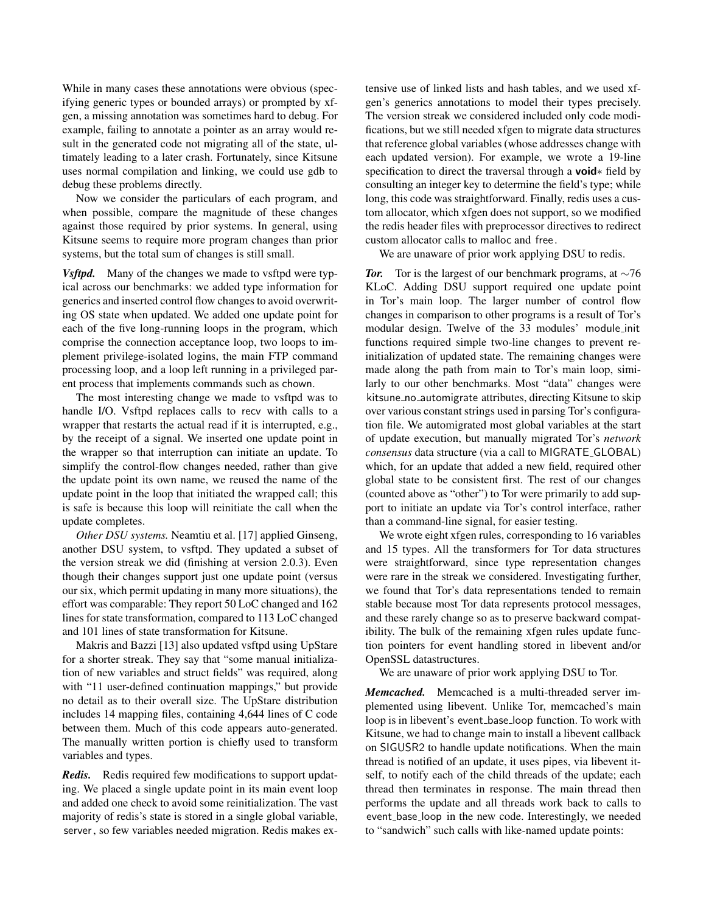While in many cases these annotations were obvious (specifying generic types or bounded arrays) or prompted by xfgen, a missing annotation was sometimes hard to debug. For example, failing to annotate a pointer as an array would result in the generated code not migrating all of the state, ultimately leading to a later crash. Fortunately, since Kitsune uses normal compilation and linking, we could use gdb to debug these problems directly.

Now we consider the particulars of each program, and when possible, compare the magnitude of these changes against those required by prior systems. In general, using Kitsune seems to require more program changes than prior systems, but the total sum of changes is still small.

*Vsftpd.* Many of the changes we made to vsftpd were typical across our benchmarks: we added type information for generics and inserted control flow changes to avoid overwriting OS state when updated. We added one update point for each of the five long-running loops in the program, which comprise the connection acceptance loop, two loops to implement privilege-isolated logins, the main FTP command processing loop, and a loop left running in a privileged parent process that implements commands such as chown.

The most interesting change we made to vsftpd was to handle I/O. Vsftpd replaces calls to recv with calls to a wrapper that restarts the actual read if it is interrupted, e.g., by the receipt of a signal. We inserted one update point in the wrapper so that interruption can initiate an update. To simplify the control-flow changes needed, rather than give the update point its own name, we reused the name of the update point in the loop that initiated the wrapped call; this is safe is because this loop will reinitiate the call when the update completes.

*Other DSU systems.* Neamtiu et al. [17] applied Ginseng, another DSU system, to vsftpd. They updated a subset of the version streak we did (finishing at version 2.0.3). Even though their changes support just one update point (versus our six, which permit updating in many more situations), the effort was comparable: They report 50 LoC changed and 162 lines for state transformation, compared to 113 LoC changed and 101 lines of state transformation for Kitsune.

Makris and Bazzi [13] also updated vsftpd using UpStare for a shorter streak. They say that "some manual initialization of new variables and struct fields" was required, along with "11 user-defined continuation mappings," but provide no detail as to their overall size. The UpStare distribution includes 14 mapping files, containing 4,644 lines of C code between them. Much of this code appears auto-generated. The manually written portion is chiefly used to transform variables and types.

*Redis.* Redis required few modifications to support updating. We placed a single update point in its main event loop and added one check to avoid some reinitialization. The vast majority of redis's state is stored in a single global variable, server, so few variables needed migration. Redis makes extensive use of linked lists and hash tables, and we used xfgen's generics annotations to model their types precisely. The version streak we considered included only code modifications, but we still needed xfgen to migrate data structures that reference global variables (whose addresses change with each updated version). For example, we wrote a 19-line specification to direct the traversal through a void∗ field by consulting an integer key to determine the field's type; while long, this code was straightforward. Finally, redis uses a custom allocator, which xfgen does not support, so we modified the redis header files with preprocessor directives to redirect custom allocator calls to malloc and free .

We are unaware of prior work applying DSU to redis.

*Tor.* Tor is the largest of our benchmark programs, at ∼76 KLoC. Adding DSU support required one update point in Tor's main loop. The larger number of control flow changes in comparison to other programs is a result of Tor's modular design. Twelve of the 33 modules' module init functions required simple two-line changes to prevent reinitialization of updated state. The remaining changes were made along the path from main to Tor's main loop, similarly to our other benchmarks. Most "data" changes were kitsune no automigrate attributes, directing Kitsune to skip over various constant strings used in parsing Tor's configuration file. We automigrated most global variables at the start of update execution, but manually migrated Tor's *network consensus* data structure (via a call to MIGRATE GLOBAL) which, for an update that added a new field, required other global state to be consistent first. The rest of our changes (counted above as "other") to Tor were primarily to add support to initiate an update via Tor's control interface, rather than a command-line signal, for easier testing.

We wrote eight xfgen rules, corresponding to 16 variables and 15 types. All the transformers for Tor data structures were straightforward, since type representation changes were rare in the streak we considered. Investigating further, we found that Tor's data representations tended to remain stable because most Tor data represents protocol messages, and these rarely change so as to preserve backward compatibility. The bulk of the remaining xfgen rules update function pointers for event handling stored in libevent and/or OpenSSL datastructures.

We are unaware of prior work applying DSU to Tor.

*Memcached.* Memcached is a multi-threaded server implemented using libevent. Unlike Tor, memcached's main loop is in libevent's event\_base\_loop function. To work with Kitsune, we had to change main to install a libevent callback on SIGUSR2 to handle update notifications. When the main thread is notified of an update, it uses pipes, via libevent itself, to notify each of the child threads of the update; each thread then terminates in response. The main thread then performs the update and all threads work back to calls to event base loop in the new code. Interestingly, we needed to "sandwich" such calls with like-named update points: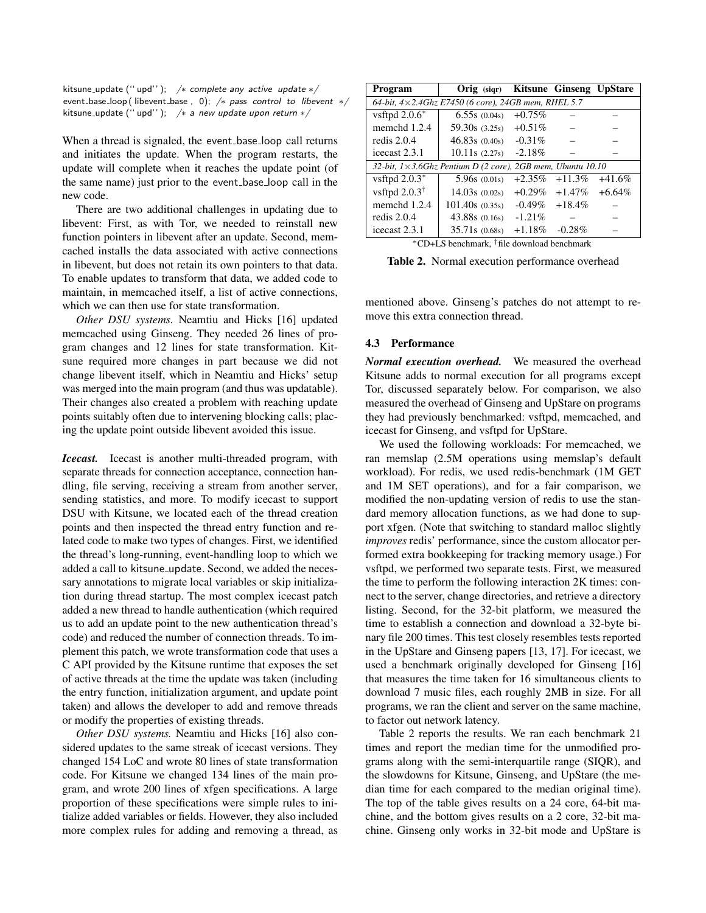kitsune\_update (" upd'' );  $\frac{1}{2}$  complete any active update  $\frac{1}{2}$ event\_base\_loop ( libevent\_base, 0); /\* pass control to libevent \*/ kitsune\_update (" upd'' );  $\neq$  a new update upon return  $*/$ 

When a thread is signaled, the event base loop call returns and initiates the update. When the program restarts, the update will complete when it reaches the update point (of the same name) just prior to the event base loop call in the new code.

There are two additional challenges in updating due to libevent: First, as with Tor, we needed to reinstall new function pointers in libevent after an update. Second, memcached installs the data associated with active connections in libevent, but does not retain its own pointers to that data. To enable updates to transform that data, we added code to maintain, in memcached itself, a list of active connections, which we can then use for state transformation.

*Other DSU systems.* Neamtiu and Hicks [16] updated memcached using Ginseng. They needed 26 lines of program changes and 12 lines for state transformation. Kitsune required more changes in part because we did not change libevent itself, which in Neamtiu and Hicks' setup was merged into the main program (and thus was updatable). Their changes also created a problem with reaching update points suitably often due to intervening blocking calls; placing the update point outside libevent avoided this issue.

*Icecast.* Icecast is another multi-threaded program, with separate threads for connection acceptance, connection handling, file serving, receiving a stream from another server, sending statistics, and more. To modify icecast to support DSU with Kitsune, we located each of the thread creation points and then inspected the thread entry function and related code to make two types of changes. First, we identified the thread's long-running, event-handling loop to which we added a call to kitsune update. Second, we added the necessary annotations to migrate local variables or skip initialization during thread startup. The most complex icecast patch added a new thread to handle authentication (which required us to add an update point to the new authentication thread's code) and reduced the number of connection threads. To implement this patch, we wrote transformation code that uses a C API provided by the Kitsune runtime that exposes the set of active threads at the time the update was taken (including the entry function, initialization argument, and update point taken) and allows the developer to add and remove threads or modify the properties of existing threads.

*Other DSU systems.* Neamtiu and Hicks [16] also considered updates to the same streak of icecast versions. They changed 154 LoC and wrote 80 lines of state transformation code. For Kitsune we changed 134 lines of the main program, and wrote 200 lines of xfgen specifications. A large proportion of these specifications were simple rules to initialize added variables or fields. However, they also included more complex rules for adding and removing a thread, as

| Program                                             | Orig $(sigr)$                                                        |           | <b>Kitsune Ginseng UpStare</b> |           |  |  |  |  |
|-----------------------------------------------------|----------------------------------------------------------------------|-----------|--------------------------------|-----------|--|--|--|--|
| 64-bit, 4×2.4Ghz E7450 (6 core), 24GB mem, RHEL 5.7 |                                                                      |           |                                |           |  |  |  |  |
| vsftpd $2.0.6*$                                     | 6.55s(0.04s)                                                         | $+0.75%$  |                                |           |  |  |  |  |
| memchd 1.2.4                                        | 59.30s(3.25s)                                                        | $+0.51\%$ |                                |           |  |  |  |  |
| redis $2.0.4$                                       | 46.83s(0.40s)                                                        | $-0.31\%$ |                                |           |  |  |  |  |
| icecast 2.3.1                                       | 10.11s(2.27s)                                                        | $-2.18%$  |                                |           |  |  |  |  |
|                                                     | 32-bit, $1 \times 3.6$ Ghz Pentium D (2 core), 2GB mem, Ubuntu 10.10 |           |                                |           |  |  |  |  |
| vsftpd $2.0.3*$                                     | 5.96s(0.01s)                                                         | $+2.35%$  | $+11.3%$                       | $+41.6%$  |  |  |  |  |
| vsftpd $2.0.3^{\dagger}$                            | 14.03s(0.02s)                                                        | $+0.29\%$ | $+1.47\%$                      | $+6.64\%$ |  |  |  |  |
| memchd 1.2.4                                        | 101.40s(0.35s)                                                       | $-0.49\%$ | $+18.4\%$                      |           |  |  |  |  |
| redis $2.0.4$                                       | $43.88s$ (0.16s)                                                     | $-1.21%$  |                                |           |  |  |  |  |
| icecast 2.3.1                                       | 35.71s(0.68s)                                                        | $+1.18%$  | $-0.28%$                       |           |  |  |  |  |

<sup>∗</sup>CD+LS benchmark, †file download benchmark

Table 2. Normal execution performance overhead

mentioned above. Ginseng's patches do not attempt to remove this extra connection thread.

#### 4.3 Performance

*Normal execution overhead.* We measured the overhead Kitsune adds to normal execution for all programs except Tor, discussed separately below. For comparison, we also measured the overhead of Ginseng and UpStare on programs they had previously benchmarked: vsftpd, memcached, and icecast for Ginseng, and vsftpd for UpStare.

We used the following workloads: For memcached, we ran memslap (2.5M operations using memslap's default workload). For redis, we used redis-benchmark (1M GET and 1M SET operations), and for a fair comparison, we modified the non-updating version of redis to use the standard memory allocation functions, as we had done to support xfgen. (Note that switching to standard malloc slightly *improves* redis' performance, since the custom allocator performed extra bookkeeping for tracking memory usage.) For vsftpd, we performed two separate tests. First, we measured the time to perform the following interaction 2K times: connect to the server, change directories, and retrieve a directory listing. Second, for the 32-bit platform, we measured the time to establish a connection and download a 32-byte binary file 200 times. This test closely resembles tests reported in the UpStare and Ginseng papers [13, 17]. For icecast, we used a benchmark originally developed for Ginseng [16] that measures the time taken for 16 simultaneous clients to download 7 music files, each roughly 2MB in size. For all programs, we ran the client and server on the same machine, to factor out network latency.

Table 2 reports the results. We ran each benchmark 21 times and report the median time for the unmodified programs along with the semi-interquartile range (SIQR), and the slowdowns for Kitsune, Ginseng, and UpStare (the median time for each compared to the median original time). The top of the table gives results on a 24 core, 64-bit machine, and the bottom gives results on a 2 core, 32-bit machine. Ginseng only works in 32-bit mode and UpStare is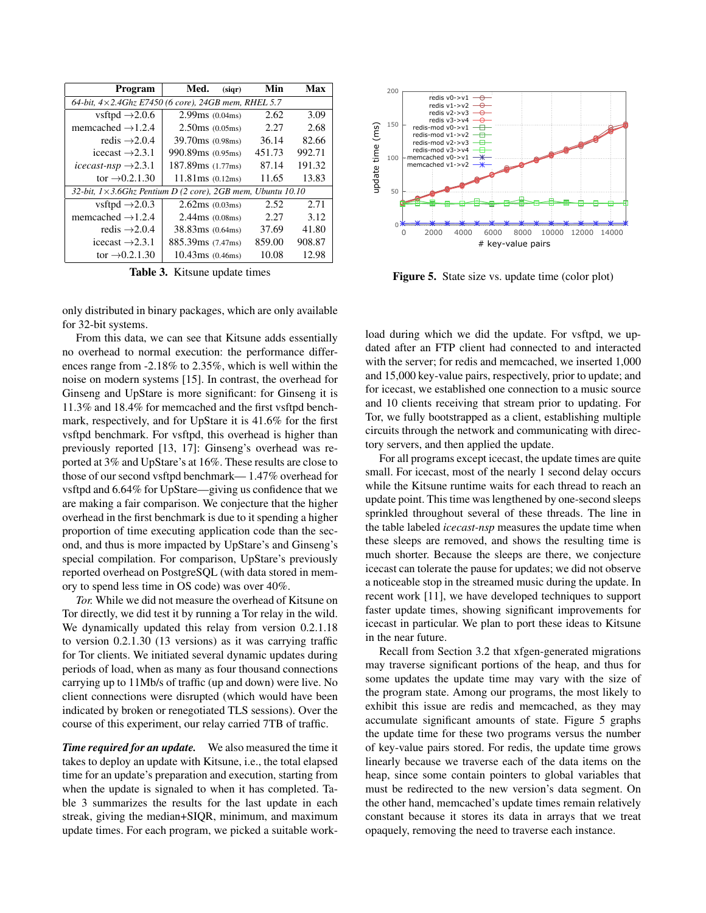| Program                                                              | Med.<br>(sigr)             | Min    | Max    |  |  |  |  |  |
|----------------------------------------------------------------------|----------------------------|--------|--------|--|--|--|--|--|
| 64-bit, $4 \times 2.4$ Ghz E7450 (6 core), 24GB mem, RHEL 5.7        |                            |        |        |  |  |  |  |  |
| vsftpd $\rightarrow$ 2.0.6                                           | 2.99ms(0.04ms)             | 2.62   | 3.09   |  |  |  |  |  |
| memcached $\rightarrow$ 1.2.4                                        | 2.50ms(0.05ms)             | 2.27   | 2.68   |  |  |  |  |  |
| redis $\rightarrow 2.0.4$                                            | 39.70ms (0.98ms)           | 36.14  | 82.66  |  |  |  |  |  |
| icecast $\rightarrow$ 2.3.1                                          | 990.89ms (0.95ms)          | 451.73 | 992.71 |  |  |  |  |  |
| icecast-nsp $\rightarrow$ 2.3.1                                      | 187.89ms (1.77ms)          | 87.14  | 191.32 |  |  |  |  |  |
| tor $\rightarrow 0.2.1.30$                                           | $11.81 \text{ms}$ (0.12ms) | 11.65  | 13.83  |  |  |  |  |  |
| 32-bit, $1 \times 3.6$ Ghz Pentium D (2 core), 2GB mem, Ubuntu 10.10 |                            |        |        |  |  |  |  |  |
| vsftpd $\rightarrow$ 2.0.3                                           | 2.62ms(0.03ms)             | 2.52   | 2.71   |  |  |  |  |  |
| memcached $\rightarrow$ 1.2.4                                        | $2.44$ ms $(0.08$ ms)      | 2.27   | 3.12   |  |  |  |  |  |
| redis $\rightarrow 2.0.4$                                            | $38.83 \text{ms}$ (0.64ms) | 37.69  | 41.80  |  |  |  |  |  |
| icecast $\rightarrow$ 2.3.1                                          | 885.39ms (7.47ms)          | 859.00 | 908.87 |  |  |  |  |  |
| tor $\rightarrow 0.2.1.30$                                           | $10.43ms$ (0.46ms)         | 10.08  | 12.98  |  |  |  |  |  |

Table 3. Kitsune update times

only distributed in binary packages, which are only available for 32-bit systems.

From this data, we can see that Kitsune adds essentially no overhead to normal execution: the performance differences range from -2.18% to 2.35%, which is well within the noise on modern systems [15]. In contrast, the overhead for Ginseng and UpStare is more significant: for Ginseng it is 11.3% and 18.4% for memcached and the first vsftpd benchmark, respectively, and for UpStare it is 41.6% for the first vsftpd benchmark. For vsftpd, this overhead is higher than previously reported [13, 17]: Ginseng's overhead was reported at 3% and UpStare's at 16%. These results are close to those of our second vsftpd benchmark— 1.47% overhead for vsftpd and 6.64% for UpStare—giving us confidence that we are making a fair comparison. We conjecture that the higher overhead in the first benchmark is due to it spending a higher proportion of time executing application code than the second, and thus is more impacted by UpStare's and Ginseng's special compilation. For comparison, UpStare's previously reported overhead on PostgreSQL (with data stored in memory to spend less time in OS code) was over 40%.

*Tor.* While we did not measure the overhead of Kitsune on Tor directly, we did test it by running a Tor relay in the wild. We dynamically updated this relay from version 0.2.1.18 to version 0.2.1.30 (13 versions) as it was carrying traffic for Tor clients. We initiated several dynamic updates during periods of load, when as many as four thousand connections carrying up to 11Mb/s of traffic (up and down) were live. No client connections were disrupted (which would have been indicated by broken or renegotiated TLS sessions). Over the course of this experiment, our relay carried 7TB of traffic.

*Time required for an update.* We also measured the time it takes to deploy an update with Kitsune, i.e., the total elapsed time for an update's preparation and execution, starting from when the update is signaled to when it has completed. Table 3 summarizes the results for the last update in each streak, giving the median+SIQR, minimum, and maximum update times. For each program, we picked a suitable work-



Figure 5. State size vs. update time (color plot)

load during which we did the update. For vsftpd, we updated after an FTP client had connected to and interacted with the server; for redis and memcached, we inserted 1,000 and 15,000 key-value pairs, respectively, prior to update; and for icecast, we established one connection to a music source and 10 clients receiving that stream prior to updating. For Tor, we fully bootstrapped as a client, establishing multiple circuits through the network and communicating with directory servers, and then applied the update.

For all programs except icecast, the update times are quite small. For icecast, most of the nearly 1 second delay occurs while the Kitsune runtime waits for each thread to reach an update point. This time was lengthened by one-second sleeps sprinkled throughout several of these threads. The line in the table labeled *icecast-nsp* measures the update time when these sleeps are removed, and shows the resulting time is much shorter. Because the sleeps are there, we conjecture icecast can tolerate the pause for updates; we did not observe a noticeable stop in the streamed music during the update. In recent work [11], we have developed techniques to support faster update times, showing significant improvements for icecast in particular. We plan to port these ideas to Kitsune in the near future.

Recall from Section 3.2 that xfgen-generated migrations may traverse significant portions of the heap, and thus for some updates the update time may vary with the size of the program state. Among our programs, the most likely to exhibit this issue are redis and memcached, as they may accumulate significant amounts of state. Figure 5 graphs the update time for these two programs versus the number of key-value pairs stored. For redis, the update time grows linearly because we traverse each of the data items on the heap, since some contain pointers to global variables that must be redirected to the new version's data segment. On the other hand, memcached's update times remain relatively constant because it stores its data in arrays that we treat opaquely, removing the need to traverse each instance.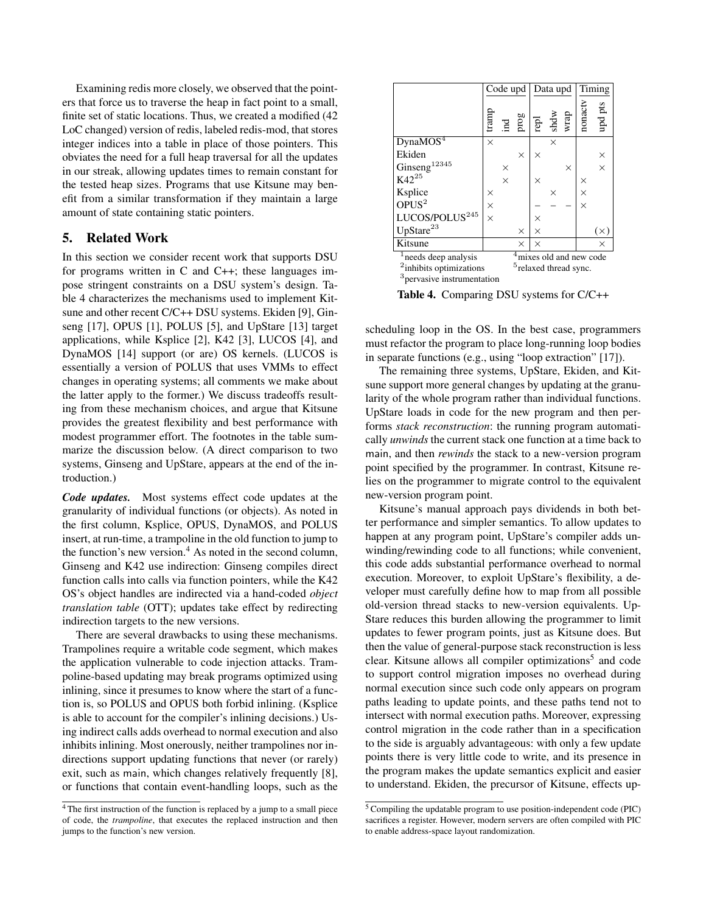Examining redis more closely, we observed that the pointers that force us to traverse the heap in fact point to a small, finite set of static locations. Thus, we created a modified  $(42)$ LoC changed) version of redis, labeled redis-mod, that stores integer indices into a table in place of those pointers. This obviates the need for a full heap traversal for all the updates in our streak, allowing updates times to remain constant for the tested heap sizes. Programs that use Kitsune may benefit from a similar transformation if they maintain a large amount of state containing static pointers.

### 5. Related Work

In this section we consider recent work that supports DSU for programs written in C and C++; these languages impose stringent constraints on a DSU system's design. Table 4 characterizes the mechanisms used to implement Kitsune and other recent C/C++ DSU systems. Ekiden [9], Ginseng [17], OPUS [1], POLUS [5], and UpStare [13] target applications, while Ksplice [2], K42 [3], LUCOS [4], and DynaMOS [14] support (or are) OS kernels. (LUCOS is essentially a version of POLUS that uses VMMs to effect changes in operating systems; all comments we make about the latter apply to the former.) We discuss tradeoffs resulting from these mechanism choices, and argue that Kitsune provides the greatest flexibility and best performance with modest programmer effort. The footnotes in the table summarize the discussion below. (A direct comparison to two systems, Ginseng and UpStare, appears at the end of the introduction.)

*Code updates.* Most systems effect code updates at the granularity of individual functions (or objects). As noted in the first column, Ksplice, OPUS, DynaMOS, and POLUS insert, at run-time, a trampoline in the old function to jump to the function's new version. $4$  As noted in the second column, Ginseng and K42 use indirection: Ginseng compiles direct function calls into calls via function pointers, while the K42 OS's object handles are indirected via a hand-coded *object translation table* (OTT); updates take effect by redirecting indirection targets to the new versions.

There are several drawbacks to using these mechanisms. Trampolines require a writable code segment, which makes the application vulnerable to code injection attacks. Trampoline-based updating may break programs optimized using inlining, since it presumes to know where the start of a function is, so POLUS and OPUS both forbid inlining. (Ksplice is able to account for the compiler's inlining decisions.) Using indirect calls adds overhead to normal execution and also inhibits inlining. Most onerously, neither trampolines nor indirections support updating functions that never (or rarely) exit, such as main, which changes relatively frequently [8], or functions that contain event-handling loops, such as the

|                                                                          | Code upd |          |                | Data upd |              |          | Timing   |            |
|--------------------------------------------------------------------------|----------|----------|----------------|----------|--------------|----------|----------|------------|
|                                                                          | tramp    | $\Xi$    | $_{\rm b}$ ord |          | repl<br>shdw | wrap     | nonacty  | upd pts    |
| $Dyna\overline{MOS}$ <sup>4</sup>                                        | $\times$ |          |                |          | $\times$     |          |          |            |
| Ekiden                                                                   |          |          | $\times$       | $\times$ |              |          |          | X          |
| Ginseng <sup>12345</sup>                                                 |          | ×        |                |          |              | $\times$ |          | X          |
| $K42^{25}$                                                               |          | $\times$ |                | $\times$ |              |          | $\times$ |            |
| Ksplice                                                                  | ×        |          |                |          | $\times$     |          | $\times$ |            |
| OPUS <sup>2</sup>                                                        | $\times$ |          |                |          |              |          | $\times$ |            |
| $LUCOS/POLUS^{245}$                                                      | $\times$ |          |                | $\times$ |              |          |          |            |
| UpStare <sup>23</sup>                                                    |          |          | $\times$       | $\times$ |              |          |          | $(\times)$ |
| Kitsune                                                                  |          |          | X.             | $\times$ |              |          |          | X          |
| <sup>4</sup> mixes old and new code<br><sup>1</sup> needs deep analysis  |          |          |                |          |              |          |          |            |
| <sup>2</sup> inhibits optimizations<br><sup>5</sup> relaxed thread sync. |          |          |                |          |              |          |          |            |
| <sup>3</sup> pervasive instrumentation                                   |          |          |                |          |              |          |          |            |

Table 4. Comparing DSU systems for C/C++

scheduling loop in the OS. In the best case, programmers must refactor the program to place long-running loop bodies in separate functions (e.g., using "loop extraction" [17]).

The remaining three systems, UpStare, Ekiden, and Kitsune support more general changes by updating at the granularity of the whole program rather than individual functions. UpStare loads in code for the new program and then performs *stack reconstruction*: the running program automatically *unwinds* the current stack one function at a time back to main, and then *rewinds* the stack to a new-version program point specified by the programmer. In contrast, Kitsune relies on the programmer to migrate control to the equivalent new-version program point.

Kitsune's manual approach pays dividends in both better performance and simpler semantics. To allow updates to happen at any program point, UpStare's compiler adds unwinding/rewinding code to all functions; while convenient, this code adds substantial performance overhead to normal execution. Moreover, to exploit UpStare's flexibility, a developer must carefully define how to map from all possible old-version thread stacks to new-version equivalents. Up-Stare reduces this burden allowing the programmer to limit updates to fewer program points, just as Kitsune does. But then the value of general-purpose stack reconstruction is less clear. Kitsune allows all compiler optimizations<sup>5</sup> and code to support control migration imposes no overhead during normal execution since such code only appears on program paths leading to update points, and these paths tend not to intersect with normal execution paths. Moreover, expressing control migration in the code rather than in a specification to the side is arguably advantageous: with only a few update points there is very little code to write, and its presence in the program makes the update semantics explicit and easier to understand. Ekiden, the precursor of Kitsune, effects up-

<sup>4</sup> The first instruction of the function is replaced by a jump to a small piece of code, the *trampoline*, that executes the replaced instruction and then jumps to the function's new version.

<sup>5</sup> Compiling the updatable program to use position-independent code (PIC) sacrifices a register. However, modern servers are often compiled with PIC to enable address-space layout randomization.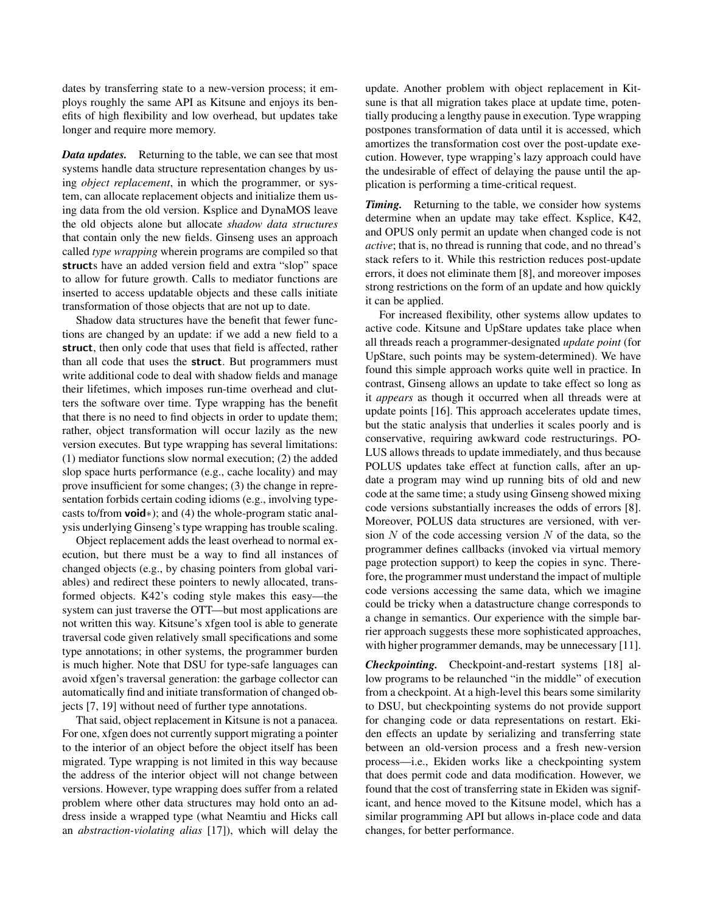dates by transferring state to a new-version process; it employs roughly the same API as Kitsune and enjoys its benefits of high flexibility and low overhead, but updates take longer and require more memory.

*Data updates.* Returning to the table, we can see that most systems handle data structure representation changes by using *object replacement*, in which the programmer, or system, can allocate replacement objects and initialize them using data from the old version. Ksplice and DynaMOS leave the old objects alone but allocate *shadow data structures* that contain only the new fields. Ginseng uses an approach called *type wrapping* wherein programs are compiled so that structs have an added version field and extra "slop" space to allow for future growth. Calls to mediator functions are inserted to access updatable objects and these calls initiate transformation of those objects that are not up to date.

Shadow data structures have the benefit that fewer functions are changed by an update: if we add a new field to a struct, then only code that uses that field is affected, rather than all code that uses the struct. But programmers must write additional code to deal with shadow fields and manage their lifetimes, which imposes run-time overhead and clutters the software over time. Type wrapping has the benefit that there is no need to find objects in order to update them; rather, object transformation will occur lazily as the new version executes. But type wrapping has several limitations: (1) mediator functions slow normal execution; (2) the added slop space hurts performance (e.g., cache locality) and may prove insufficient for some changes; (3) the change in representation forbids certain coding idioms (e.g., involving typecasts to/from void∗); and (4) the whole-program static analysis underlying Ginseng's type wrapping has trouble scaling.

Object replacement adds the least overhead to normal execution, but there must be a way to find all instances of changed objects (e.g., by chasing pointers from global variables) and redirect these pointers to newly allocated, transformed objects. K42's coding style makes this easy—the system can just traverse the OTT—but most applications are not written this way. Kitsune's xfgen tool is able to generate traversal code given relatively small specifications and some type annotations; in other systems, the programmer burden is much higher. Note that DSU for type-safe languages can avoid xfgen's traversal generation: the garbage collector can automatically find and initiate transformation of changed objects [7, 19] without need of further type annotations.

That said, object replacement in Kitsune is not a panacea. For one, xfgen does not currently support migrating a pointer to the interior of an object before the object itself has been migrated. Type wrapping is not limited in this way because the address of the interior object will not change between versions. However, type wrapping does suffer from a related problem where other data structures may hold onto an address inside a wrapped type (what Neamtiu and Hicks call an *abstraction-violating alias* [17]), which will delay the

update. Another problem with object replacement in Kitsune is that all migration takes place at update time, potentially producing a lengthy pause in execution. Type wrapping postpones transformation of data until it is accessed, which amortizes the transformation cost over the post-update execution. However, type wrapping's lazy approach could have the undesirable of effect of delaying the pause until the application is performing a time-critical request.

*Timing.* Returning to the table, we consider how systems determine when an update may take effect. Ksplice, K42, and OPUS only permit an update when changed code is not *active*; that is, no thread is running that code, and no thread's stack refers to it. While this restriction reduces post-update errors, it does not eliminate them [8], and moreover imposes strong restrictions on the form of an update and how quickly it can be applied.

For increased flexibility, other systems allow updates to active code. Kitsune and UpStare updates take place when all threads reach a programmer-designated *update point* (for UpStare, such points may be system-determined). We have found this simple approach works quite well in practice. In contrast, Ginseng allows an update to take effect so long as it *appears* as though it occurred when all threads were at update points [16]. This approach accelerates update times, but the static analysis that underlies it scales poorly and is conservative, requiring awkward code restructurings. PO-LUS allows threads to update immediately, and thus because POLUS updates take effect at function calls, after an update a program may wind up running bits of old and new code at the same time; a study using Ginseng showed mixing code versions substantially increases the odds of errors [8]. Moreover, POLUS data structures are versioned, with version N of the code accessing version N of the data, so the programmer defines callbacks (invoked via virtual memory page protection support) to keep the copies in sync. Therefore, the programmer must understand the impact of multiple code versions accessing the same data, which we imagine could be tricky when a datastructure change corresponds to a change in semantics. Our experience with the simple barrier approach suggests these more sophisticated approaches, with higher programmer demands, may be unnecessary [11].

*Checkpointing.* Checkpoint-and-restart systems [18] allow programs to be relaunched "in the middle" of execution from a checkpoint. At a high-level this bears some similarity to DSU, but checkpointing systems do not provide support for changing code or data representations on restart. Ekiden effects an update by serializing and transferring state between an old-version process and a fresh new-version process—i.e., Ekiden works like a checkpointing system that does permit code and data modification. However, we found that the cost of transferring state in Ekiden was significant, and hence moved to the Kitsune model, which has a similar programming API but allows in-place code and data changes, for better performance.